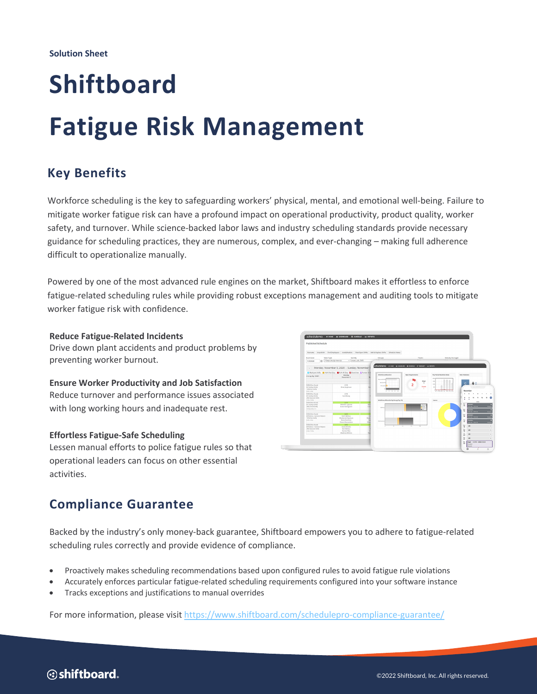# **Shiftboard Fatigue Risk Management**

## **Key Benefits**

Workforce scheduling is the key to safeguarding workers' physical, mental, and emotional well-being. Failure to mitigate worker fatigue risk can have a profound impact on operational productivity, product quality, worker safety, and turnover. While science-backed labor laws and industry scheduling standards provide necessary guidance for scheduling practices, they are numerous, complex, and ever-changing – making full adherence difficult to operationalize manually.

Powered by one of the most advanced rule engines on the market, Shiftboard makes it effortless to enforce fatigue-related scheduling rules while providing robust exceptions management and auditing tools to mitigate worker fatigue risk with confidence.

### **Reduce Fatigue-Related Incidents**

Drive down plant accidents and product problems by preventing worker burnout.

**Ensure Worker Productivity and Job Satisfaction**  Reduce turnover and performance issues associated with long working hours and inadequate rest.

## **Effortless Fatigue-Safe Scheduling**

Lessen manual efforts to police fatigue rules so that operational leaders can focus on other essential activities.



## **Compliance Guarantee**

Backed by the industry's only money-back guarantee, Shiftboard empowers you to adhere to fatigue-related scheduling rules correctly and provide evidence of compliance.

- Proactively makes scheduling recommendations based upon configured rules to avoid fatigue rule violations
- Accurately enforces particular fatigue-related scheduling requirements configured into your software instance
- Tracks exceptions and justifications to manual overrides

For more information, please visit https://www.shiftboard.com/schedulepro-compliance-guarantee/